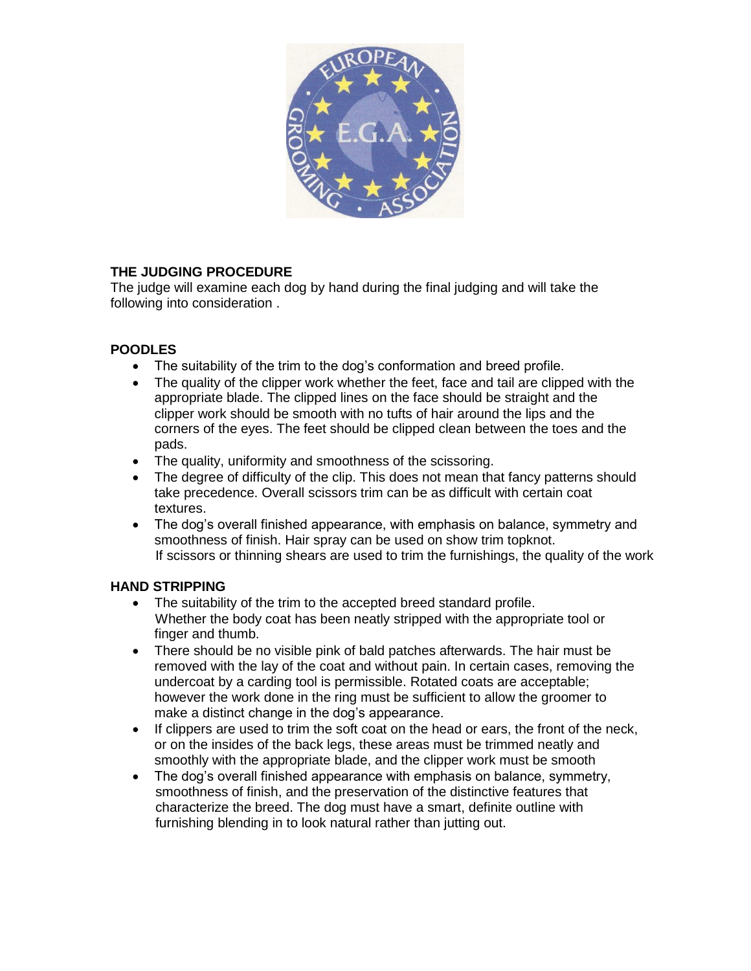

## **THE JUDGING PROCEDURE**

The judge will examine each dog by hand during the final judging and will take the following into consideration .

## **POODLES**

- The suitability of the trim to the dog's conformation and breed profile.
- The quality of the clipper work whether the feet, face and tail are clipped with the appropriate blade. The clipped lines on the face should be straight and the clipper work should be smooth with no tufts of hair around the lips and the corners of the eyes. The feet should be clipped clean between the toes and the pads.
- The quality, uniformity and smoothness of the scissoring.
- The degree of difficulty of the clip. This does not mean that fancy patterns should take precedence. Overall scissors trim can be as difficult with certain coat textures.
- The dog's overall finished appearance, with emphasis on balance, symmetry and smoothness of finish. Hair spray can be used on show trim topknot. If scissors or thinning shears are used to trim the furnishings, the quality of the work

## **HAND STRIPPING**

- The suitability of the trim to the accepted breed standard profile. Whether the body coat has been neatly stripped with the appropriate tool or finger and thumb.
- There should be no visible pink of bald patches afterwards. The hair must be removed with the lay of the coat and without pain. In certain cases, removing the undercoat by a carding tool is permissible. Rotated coats are acceptable; however the work done in the ring must be sufficient to allow the groomer to make a distinct change in the dog's appearance.
- If clippers are used to trim the soft coat on the head or ears, the front of the neck, or on the insides of the back legs, these areas must be trimmed neatly and smoothly with the appropriate blade, and the clipper work must be smooth
- The dog's overall finished appearance with emphasis on balance, symmetry, smoothness of finish, and the preservation of the distinctive features that characterize the breed. The dog must have a smart, definite outline with furnishing blending in to look natural rather than jutting out.